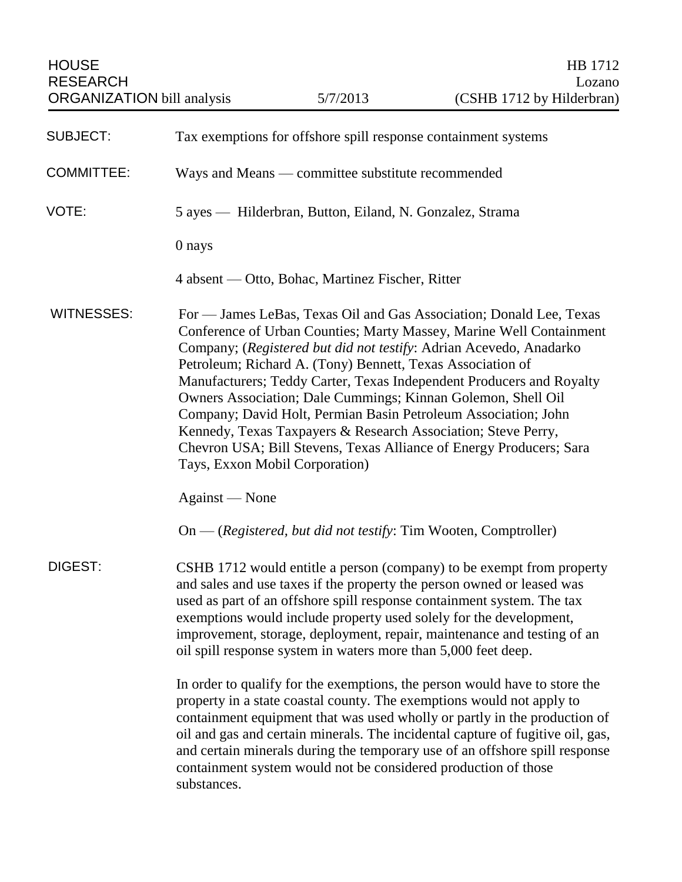| <b>SUBJECT:</b>   | Tax exemptions for offshore spill response containment systems                                                                                                                                                                                                                                                                                                                                                                                                                                                                                                                                                                                                     |
|-------------------|--------------------------------------------------------------------------------------------------------------------------------------------------------------------------------------------------------------------------------------------------------------------------------------------------------------------------------------------------------------------------------------------------------------------------------------------------------------------------------------------------------------------------------------------------------------------------------------------------------------------------------------------------------------------|
| <b>COMMITTEE:</b> | Ways and Means — committee substitute recommended                                                                                                                                                                                                                                                                                                                                                                                                                                                                                                                                                                                                                  |
| VOTE:             | 5 ayes — Hilderbran, Button, Eiland, N. Gonzalez, Strama                                                                                                                                                                                                                                                                                                                                                                                                                                                                                                                                                                                                           |
|                   | 0 nays                                                                                                                                                                                                                                                                                                                                                                                                                                                                                                                                                                                                                                                             |
|                   | 4 absent — Otto, Bohac, Martinez Fischer, Ritter                                                                                                                                                                                                                                                                                                                                                                                                                                                                                                                                                                                                                   |
| <b>WITNESSES:</b> | For — James LeBas, Texas Oil and Gas Association; Donald Lee, Texas<br>Conference of Urban Counties; Marty Massey, Marine Well Containment<br>Company; (Registered but did not testify: Adrian Acevedo, Anadarko<br>Petroleum; Richard A. (Tony) Bennett, Texas Association of<br>Manufacturers; Teddy Carter, Texas Independent Producers and Royalty<br>Owners Association; Dale Cummings; Kinnan Golemon, Shell Oil<br>Company; David Holt, Permian Basin Petroleum Association; John<br>Kennedy, Texas Taxpayers & Research Association; Steve Perry,<br>Chevron USA; Bill Stevens, Texas Alliance of Energy Producers; Sara<br>Tays, Exxon Mobil Corporation) |
|                   | Against — None                                                                                                                                                                                                                                                                                                                                                                                                                                                                                                                                                                                                                                                     |
|                   | $On - (registered, but did not testify: Tim Wooden, Comptroller)$                                                                                                                                                                                                                                                                                                                                                                                                                                                                                                                                                                                                  |
| DIGEST:           | CSHB 1712 would entitle a person (company) to be exempt from property<br>and sales and use taxes if the property the person owned or leased was<br>used as part of an offshore spill response containment system. The tax<br>exemptions would include property used solely for the development,<br>improvement, storage, deployment, repair, maintenance and testing of an<br>oil spill response system in waters more than 5,000 feet deep.                                                                                                                                                                                                                       |
|                   | In order to qualify for the exemptions, the person would have to store the<br>property in a state coastal county. The exemptions would not apply to<br>containment equipment that was used wholly or partly in the production of<br>oil and gas and certain minerals. The incidental capture of fugitive oil, gas,<br>and certain minerals during the temporary use of an offshore spill response<br>containment system would not be considered production of those<br>substances.                                                                                                                                                                                 |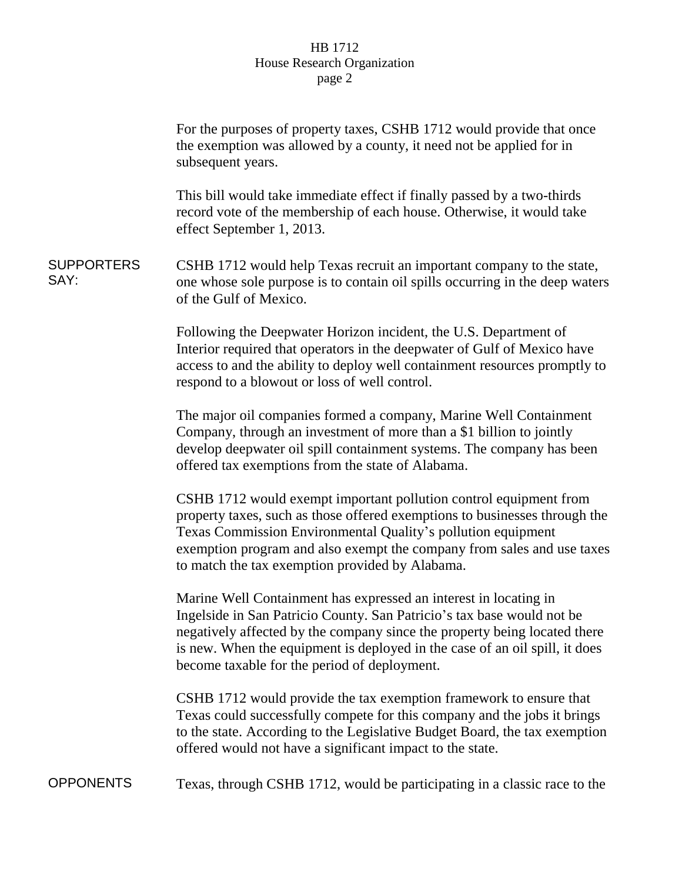## HB 1712 House Research Organization page 2

|                           | For the purposes of property taxes, CSHB 1712 would provide that once<br>the exemption was allowed by a county, it need not be applied for in<br>subsequent years.                                                                                                                                                                                     |
|---------------------------|--------------------------------------------------------------------------------------------------------------------------------------------------------------------------------------------------------------------------------------------------------------------------------------------------------------------------------------------------------|
|                           | This bill would take immediate effect if finally passed by a two-thirds<br>record vote of the membership of each house. Otherwise, it would take<br>effect September 1, 2013.                                                                                                                                                                          |
| <b>SUPPORTERS</b><br>SAY: | CSHB 1712 would help Texas recruit an important company to the state,<br>one whose sole purpose is to contain oil spills occurring in the deep waters<br>of the Gulf of Mexico.                                                                                                                                                                        |
|                           | Following the Deepwater Horizon incident, the U.S. Department of<br>Interior required that operators in the deepwater of Gulf of Mexico have<br>access to and the ability to deploy well containment resources promptly to<br>respond to a blowout or loss of well control.                                                                            |
|                           | The major oil companies formed a company, Marine Well Containment<br>Company, through an investment of more than a \$1 billion to jointly<br>develop deepwater oil spill containment systems. The company has been<br>offered tax exemptions from the state of Alabama.                                                                                |
|                           | CSHB 1712 would exempt important pollution control equipment from<br>property taxes, such as those offered exemptions to businesses through the<br>Texas Commission Environmental Quality's pollution equipment<br>exemption program and also exempt the company from sales and use taxes<br>to match the tax exemption provided by Alabama.           |
|                           | Marine Well Containment has expressed an interest in locating in<br>Ingelside in San Patricio County. San Patricio's tax base would not be<br>negatively affected by the company since the property being located there<br>is new. When the equipment is deployed in the case of an oil spill, it does<br>become taxable for the period of deployment. |
|                           | CSHB 1712 would provide the tax exemption framework to ensure that<br>Texas could successfully compete for this company and the jobs it brings<br>to the state. According to the Legislative Budget Board, the tax exemption<br>offered would not have a significant impact to the state.                                                              |
|                           |                                                                                                                                                                                                                                                                                                                                                        |

OPPONENTS Texas, through CSHB 1712, would be participating in a classic race to the